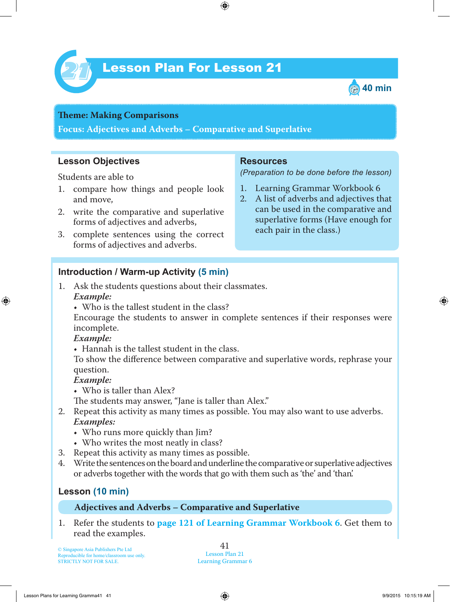

# Lesson Plan For Lesson 21 *21*



# **Theme: Making Comparisons**

**Focus: Adjectives and Adverbs – Comparative and Superlative**

## **Lesson Objectives**

Students are able to

- 1. compare how things and people look and move,
- 2. write the comparative and superlative forms of adjectives and adverbs,
- 3. complete sentences using the correct forms of adjectives and adverbs.

#### **Resources**

*(Preparation to be done before the lesson)*

- 1. Learning Grammar Workbook 6
- 2. A list of adverbs and adjectives that can be used in the comparative and superlative forms (Have enough for each pair in the class.)

#### **Introduction / Warm-up Activity (5 min)**

- 1. Ask the students questions about their classmates.  *Example:*
	- Who is the tallest student in the class?

Encourage the students to answer in complete sentences if their responses were incomplete.

#### *Example:*

• Hannah is the tallest student in the class.

To show the difference between comparative and superlative words, rephrase your question.

#### *Example:*

• Who is taller than Alex?

The students may answer, "Jane is taller than Alex."

- 2. Repeat this activity as many times as possible. You may also want to use adverbs.  *Examples:*
	- Who runs more quickly than Jim?
	- Who writes the most neatly in class?
- 3. Repeat this activity as many times as possible.<br>4. Write the sentences on the board and underline the
- 4. Write the sentences on the board and underline the comparative or superlative adjectives or adverbs together with the words that go with them such as 'the' and 'than'.

## **Lesson (10 min)**

#### **Adjectives and Adverbs – Comparative and Superlative**

1 . Refer the students to **page 121 of Learning Grammar Workbook 6**. Get them to read the examples.